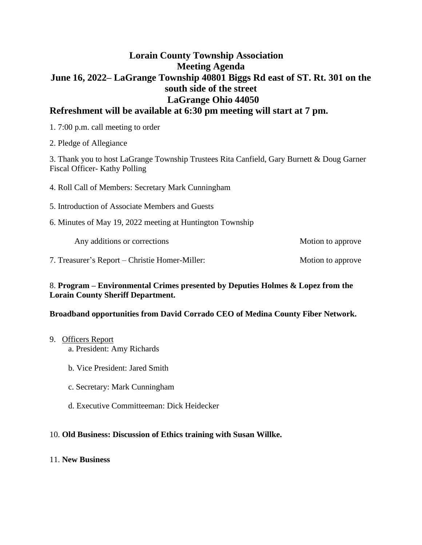# **Lorain County Township Association Meeting Agenda June 16, 2022– LaGrange Township 40801 Biggs Rd east of ST. Rt. 301 on the south side of the street LaGrange Ohio 44050**

# **Refreshment will be available at 6:30 pm meeting will start at 7 pm.**

1. 7:00 p.m. call meeting to order

2. Pledge of Allegiance

3. Thank you to host LaGrange Township Trustees Rita Canfield, Gary Burnett & Doug Garner Fiscal Officer- Kathy Polling

4. Roll Call of Members: Secretary Mark Cunningham

5. Introduction of Associate Members and Guests

6. Minutes of May 19, 2022 meeting at Huntington Township

Any additions or corrections and the Motion to approve

7. Treasurer's Report – Christie Homer-Miller: Motion to approve

### 8. **Program – Environmental Crimes presented by Deputies Holmes & Lopez from the Lorain County Sheriff Department.**

### **Broadband opportunities from David Corrado CEO of Medina County Fiber Network.**

### 9. Officers Report

a. President: Amy Richards

- b. Vice President: Jared Smith
- c. Secretary: Mark Cunningham
- d. Executive Committeeman: Dick Heidecker

## 10. **Old Business: Discussion of Ethics training with Susan Willke.**

## 11. **New Business**